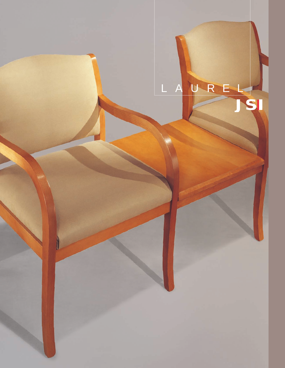